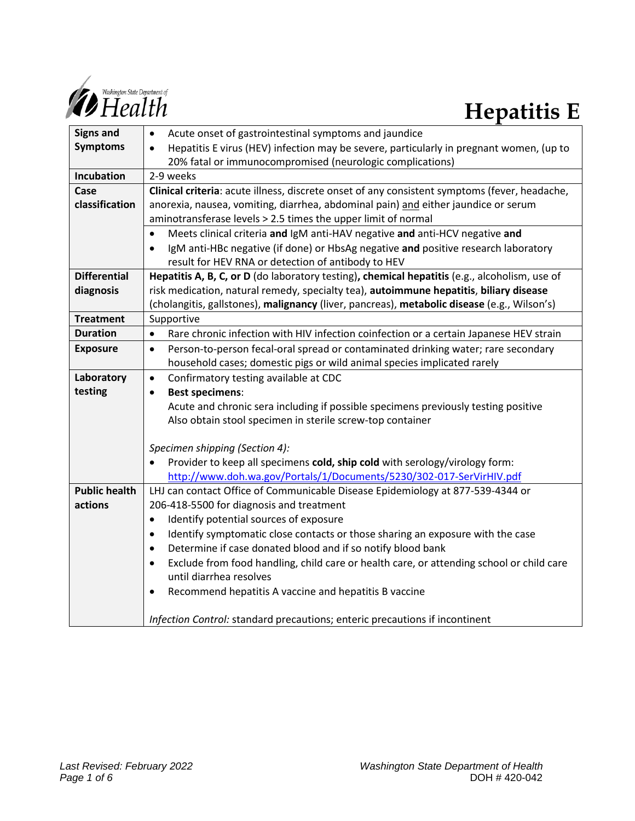

# **Hepatitis E**

| <b>Signs and</b>                | Acute onset of gastrointestinal symptoms and jaundice<br>٠                                            |
|---------------------------------|-------------------------------------------------------------------------------------------------------|
| <b>Symptoms</b>                 | Hepatitis E virus (HEV) infection may be severe, particularly in pregnant women, (up to<br>$\bullet$  |
|                                 | 20% fatal or immunocompromised (neurologic complications)                                             |
| Incubation                      | 2-9 weeks                                                                                             |
| Case                            | Clinical criteria: acute illness, discrete onset of any consistent symptoms (fever, headache,         |
| classification                  | anorexia, nausea, vomiting, diarrhea, abdominal pain) and either jaundice or serum                    |
|                                 | aminotransferase levels > 2.5 times the upper limit of normal                                         |
|                                 | Meets clinical criteria and IgM anti-HAV negative and anti-HCV negative and<br>$\bullet$              |
|                                 | IgM anti-HBc negative (if done) or HbsAg negative and positive research laboratory<br>$\bullet$       |
|                                 | result for HEV RNA or detection of antibody to HEV                                                    |
| <b>Differential</b>             | Hepatitis A, B, C, or D (do laboratory testing), chemical hepatitis (e.g., alcoholism, use of         |
| diagnosis                       | risk medication, natural remedy, specialty tea), autoimmune hepatitis, biliary disease                |
|                                 | (cholangitis, gallstones), malignancy (liver, pancreas), metabolic disease (e.g., Wilson's)           |
| <b>Treatment</b>                | Supportive                                                                                            |
| <b>Duration</b>                 | Rare chronic infection with HIV infection coinfection or a certain Japanese HEV strain<br>$\bullet$   |
| <b>Exposure</b>                 | Person-to-person fecal-oral spread or contaminated drinking water; rare secondary<br>$\bullet$        |
|                                 | household cases; domestic pigs or wild animal species implicated rarely                               |
| Laboratory                      | Confirmatory testing available at CDC<br>$\bullet$                                                    |
| testing                         | <b>Best specimens:</b><br>$\bullet$                                                                   |
|                                 | Acute and chronic sera including if possible specimens previously testing positive                    |
|                                 | Also obtain stool specimen in sterile screw-top container                                             |
|                                 |                                                                                                       |
|                                 | Specimen shipping (Section 4):                                                                        |
|                                 | Provider to keep all specimens cold, ship cold with serology/virology form:                           |
|                                 | http://www.doh.wa.gov/Portals/1/Documents/5230/302-017-SerVirHIV.pdf                                  |
| <b>Public health</b><br>actions | LHJ can contact Office of Communicable Disease Epidemiology at 877-539-4344 or                        |
|                                 | 206-418-5500 for diagnosis and treatment                                                              |
|                                 | Identify potential sources of exposure<br>$\bullet$                                                   |
|                                 | Identify symptomatic close contacts or those sharing an exposure with the case<br>$\bullet$           |
|                                 | Determine if case donated blood and if so notify blood bank<br>$\bullet$                              |
|                                 | Exclude from food handling, child care or health care, or attending school or child care<br>$\bullet$ |
|                                 | until diarrhea resolves                                                                               |
|                                 | Recommend hepatitis A vaccine and hepatitis B vaccine<br>$\bullet$                                    |
|                                 | Infection Control: standard precautions; enteric precautions if incontinent                           |
|                                 |                                                                                                       |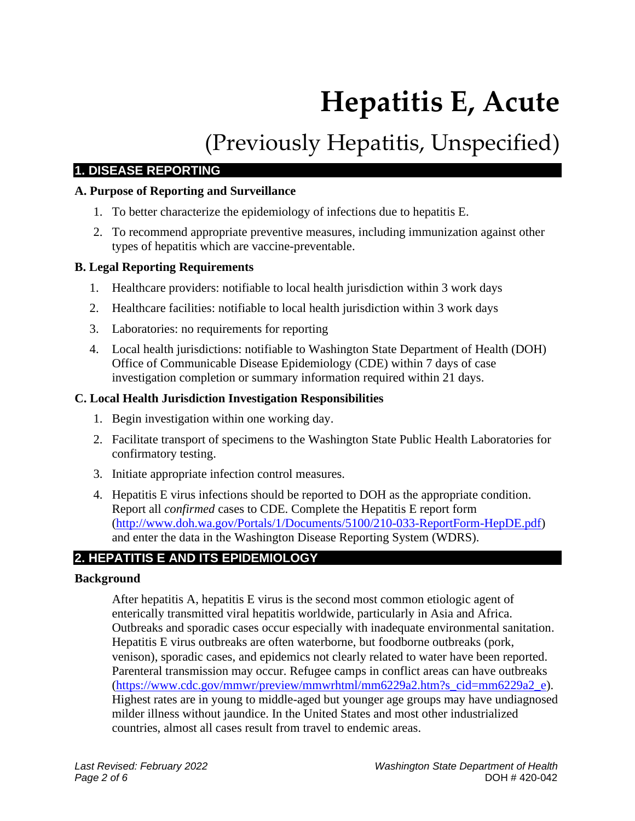# **Hepatitis E, Acute**

# (Previously Hepatitis, Unspecified)

# **1. DISEASE REPORTING**

# **A. Purpose of Reporting and Surveillance**

- 1. To better characterize the epidemiology of infections due to hepatitis E.
- 2. To recommend appropriate preventive measures, including immunization against other types of hepatitis which are vaccine-preventable.

# **B. Legal Reporting Requirements**

- 1. Healthcare providers: notifiable to local health jurisdiction within 3 work days
- 2. Healthcare facilities: notifiable to local health jurisdiction within 3 work days
- 3. Laboratories: no requirements for reporting
- 4. Local health jurisdictions: notifiable to Washington State Department of Health (DOH) Office of Communicable Disease Epidemiology (CDE) within 7 days of case investigation completion or summary information required within 21 days.

# **C. Local Health Jurisdiction Investigation Responsibilities**

- 1. Begin investigation within one working day.
- 2. Facilitate transport of specimens to the Washington State Public Health Laboratories for confirmatory testing.
- 3. Initiate appropriate infection control measures.
- 4. Hepatitis E virus infections should be reported to DOH as the appropriate condition. Report all *confirmed* cases to CDE. Complete the Hepatitis E report form [\(http://www.doh.wa.gov/Portals/1/Documents/5100/210-033-ReportForm-HepDE.pdf\)](http://www.doh.wa.gov/Portals/1/Documents/5100/210-033-ReportForm-HepDE.pdf) and enter the data in the Washington Disease Reporting System (WDRS).

# **2. HEPATITIS E AND ITS EPIDEMIOLOGY**

## **Background**

After hepatitis A, hepatitis E virus is the second most common etiologic agent of enterically transmitted viral hepatitis worldwide, particularly in Asia and Africa. Outbreaks and sporadic cases occur especially with inadequate environmental sanitation. Hepatitis E virus outbreaks are often waterborne, but foodborne outbreaks (pork, venison), sporadic cases, and epidemics not clearly related to water have been reported. Parenteral transmission may occur. Refugee camps in conflict areas can have outbreaks [\(https://www.cdc.gov/mmwr/preview/mmwrhtml/mm6229a2.htm?s\\_cid=mm6229a2\\_e\)](https://www.cdc.gov/mmwr/preview/mmwrhtml/mm6229a2.htm?s_cid=mm6229a2_e). Highest rates are in young to middle-aged but younger age groups may have undiagnosed milder illness without jaundice. In the United States and most other industrialized countries, almost all cases result from travel to endemic areas.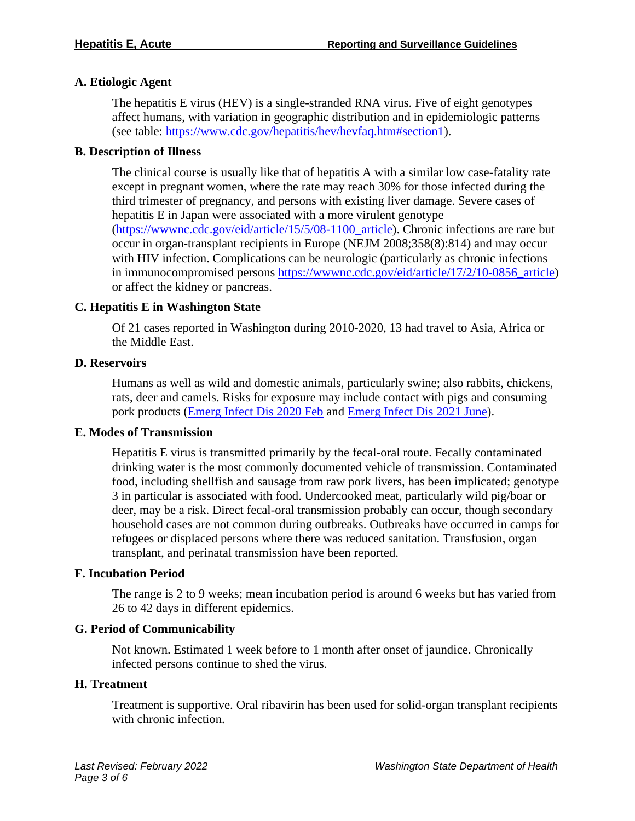#### **A. Etiologic Agent**

The hepatitis E virus (HEV) is a single-stranded RNA virus. Five of eight genotypes affect humans, with variation in geographic distribution and in epidemiologic patterns (see table: [https://www.cdc.gov/hepatitis/hev/hevfaq.htm#section1\)](https://www.cdc.gov/hepatitis/hev/hevfaq.htm#section1).

#### **B. Description of Illness**

The clinical course is usually like that of hepatitis A with a similar low case-fatality rate except in pregnant women, where the rate may reach 30% for those infected during the third trimester of pregnancy, and persons with existing liver damage. Severe cases of hepatitis E in Japan were associated with a more virulent genotype [\(https://wwwnc.cdc.gov/eid/article/15/5/08-1100\\_article\)](https://wwwnc.cdc.gov/eid/article/15/5/08-1100_article). Chronic infections are rare but occur in organ-transplant recipients in Europe (NEJM 2008;358(8):814) and may occur with HIV infection. Complications can be neurologic (particularly as chronic infections in immunocompromised persons [https://wwwnc.cdc.gov/eid/article/17/2/10-0856\\_article\)](https://wwwnc.cdc.gov/eid/article/17/2/10-0856_article) or affect the kidney or pancreas.

#### **C. Hepatitis E in Washington State**

Of 21 cases reported in Washington during 2010-2020, 13 had travel to Asia, Africa or the Middle East.

#### **D. Reservoirs**

Humans as well as wild and domestic animals, particularly swine; also rabbits, chickens, rats, deer and camels. Risks for exposure may include contact with pigs and consuming pork products (*Emerg Infect Dis 2020 Feb and Emerg Infect Dis 2021 June*).

#### **E. Modes of Transmission**

Hepatitis E virus is transmitted primarily by the fecal-oral route. Fecally contaminated drinking water is the most commonly documented vehicle of transmission. Contaminated food, including shellfish and sausage from raw pork livers, has been implicated; genotype 3 in particular is associated with food. Undercooked meat, particularly wild pig/boar or deer, may be a risk. Direct fecal-oral transmission probably can occur, though secondary household cases are not common during outbreaks. Outbreaks have occurred in camps for refugees or displaced persons where there was reduced sanitation. Transfusion, organ transplant, and perinatal transmission have been reported.

#### **F. Incubation Period**

The range is 2 to 9 weeks; mean incubation period is around 6 weeks but has varied from 26 to 42 days in different epidemics.

#### **G. Period of Communicability**

Not known. Estimated 1 week before to 1 month after onset of jaundice. Chronically infected persons continue to shed the virus.

#### **H. Treatment**

Treatment is supportive. Oral ribavirin has been used for solid-organ transplant recipients with chronic infection.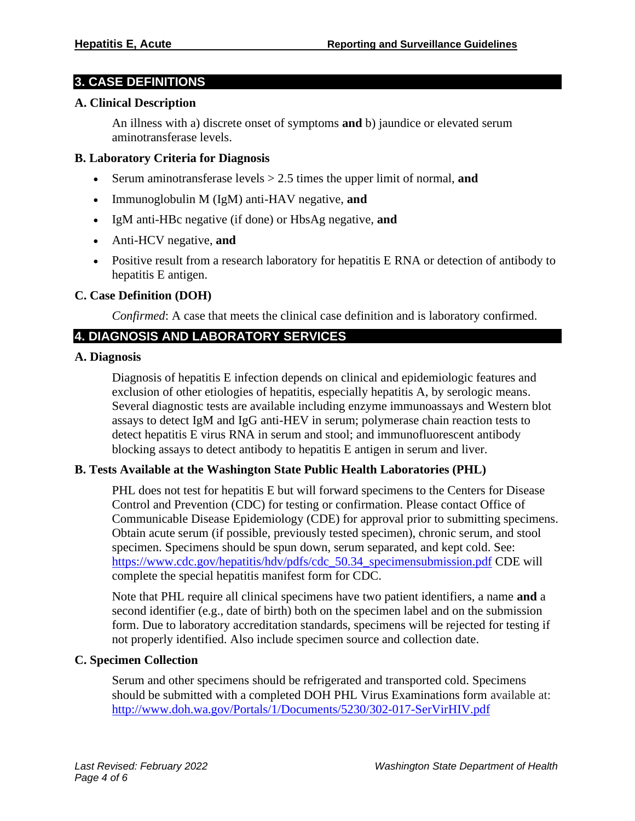# **3. CASE DEFINITIONS**

#### **A. Clinical Description**

An illness with a) discrete onset of symptoms **and** b) jaundice or elevated serum aminotransferase levels.

#### **B. Laboratory Criteria for Diagnosis**

- Serum aminotransferase levels > 2.5 times the upper limit of normal, **and**
- Immunoglobulin M (IgM) anti-HAV negative, **and**
- IgM anti-HBc negative (if done) or HbsAg negative, **and**
- Anti-HCV negative, **and**
- Positive result from a research laboratory for hepatitis E RNA or detection of antibody to hepatitis E antigen.

#### **C. Case Definition (DOH)**

*Confirmed*: A case that meets the clinical case definition and is laboratory confirmed.

# **4. DIAGNOSIS AND LABORATORY SERVICES**

#### **A. Diagnosis**

Diagnosis of hepatitis E infection depends on clinical and epidemiologic features and exclusion of other etiologies of hepatitis, especially hepatitis A, by serologic means. Several diagnostic tests are available including enzyme immunoassays and Western blot assays to detect IgM and IgG anti-HEV in serum; polymerase chain reaction tests to detect hepatitis E virus RNA in serum and stool; and immunofluorescent antibody blocking assays to detect antibody to hepatitis E antigen in serum and liver.

#### **B. Tests Available at the Washington State Public Health Laboratories (PHL)**

PHL does not test for hepatitis E but will forward specimens to the Centers for Disease Control and Prevention (CDC) for testing or confirmation. Please contact Office of Communicable Disease Epidemiology (CDE) for approval prior to submitting specimens. Obtain acute serum (if possible, previously tested specimen), chronic serum, and stool specimen. Specimens should be spun down, serum separated, and kept cold. See: [https://www.cdc.gov/hepatitis/hdv/pdfs/cdc\\_50.34\\_specimensubmission.pdf](https://www.cdc.gov/hepatitis/hdv/pdfs/cdc_50.34_specimensubmission.pdf) CDE will complete the special hepatitis manifest form for CDC.

Note that PHL require all clinical specimens have two patient identifiers, a name **and** a second identifier (e.g., date of birth) both on the specimen label and on the submission form. Due to laboratory accreditation standards, specimens will be rejected for testing if not properly identified. Also include specimen source and collection date.

#### **C. Specimen Collection**

Serum and other specimens should be refrigerated and transported cold. Specimens should be submitted with a completed DOH PHL Virus Examinations form available at: <http://www.doh.wa.gov/Portals/1/Documents/5230/302-017-SerVirHIV.pdf>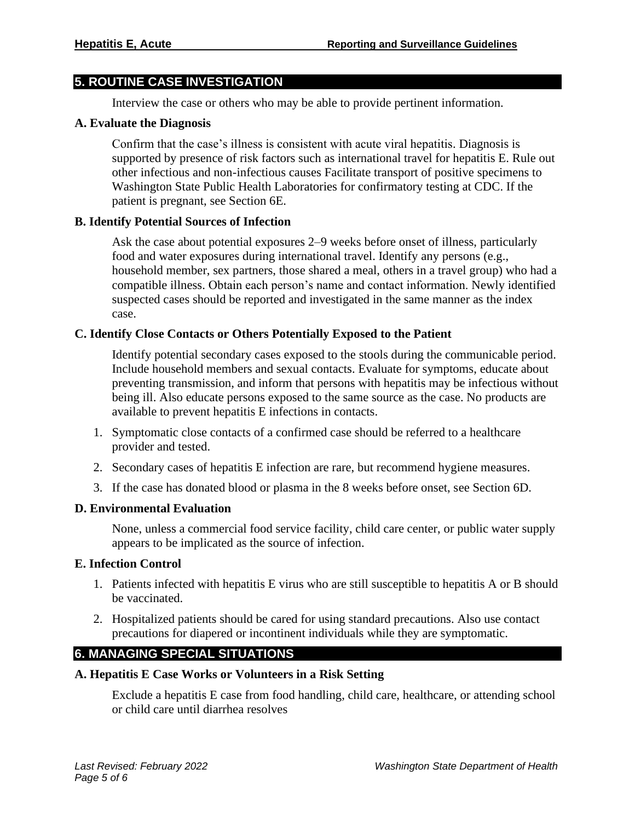# **5. ROUTINE CASE INVESTIGATION**

Interview the case or others who may be able to provide pertinent information.

#### **A. Evaluate the Diagnosis**

Confirm that the case's illness is consistent with acute viral hepatitis. Diagnosis is supported by presence of risk factors such as international travel for hepatitis E. Rule out other infectious and non-infectious causes Facilitate transport of positive specimens to Washington State Public Health Laboratories for confirmatory testing at CDC. If the patient is pregnant, see Section 6E.

#### **B. Identify Potential Sources of Infection**

Ask the case about potential exposures 2–9 weeks before onset of illness, particularly food and water exposures during international travel. Identify any persons (e.g., household member, sex partners, those shared a meal, others in a travel group) who had a compatible illness. Obtain each person's name and contact information. Newly identified suspected cases should be reported and investigated in the same manner as the index case.

#### **C. Identify Close Contacts or Others Potentially Exposed to the Patient**

Identify potential secondary cases exposed to the stools during the communicable period. Include household members and sexual contacts. Evaluate for symptoms, educate about preventing transmission, and inform that persons with hepatitis may be infectious without being ill. Also educate persons exposed to the same source as the case. No products are available to prevent hepatitis E infections in contacts.

- 1. Symptomatic close contacts of a confirmed case should be referred to a healthcare provider and tested.
- 2. Secondary cases of hepatitis E infection are rare, but recommend hygiene measures.
- 3. If the case has donated blood or plasma in the 8 weeks before onset, see Section 6D.

#### **D. Environmental Evaluation**

None, unless a commercial food service facility, child care center, or public water supply appears to be implicated as the source of infection.

#### **E. Infection Control**

- 1. Patients infected with hepatitis E virus who are still susceptible to hepatitis A or B should be vaccinated.
- 2. Hospitalized patients should be cared for using standard precautions. Also use contact precautions for diapered or incontinent individuals while they are symptomatic.

# **6. MANAGING SPECIAL SITUATIONS**

## **A. Hepatitis E Case Works or Volunteers in a Risk Setting**

Exclude a hepatitis E case from food handling, child care, healthcare, or attending school or child care until diarrhea resolves